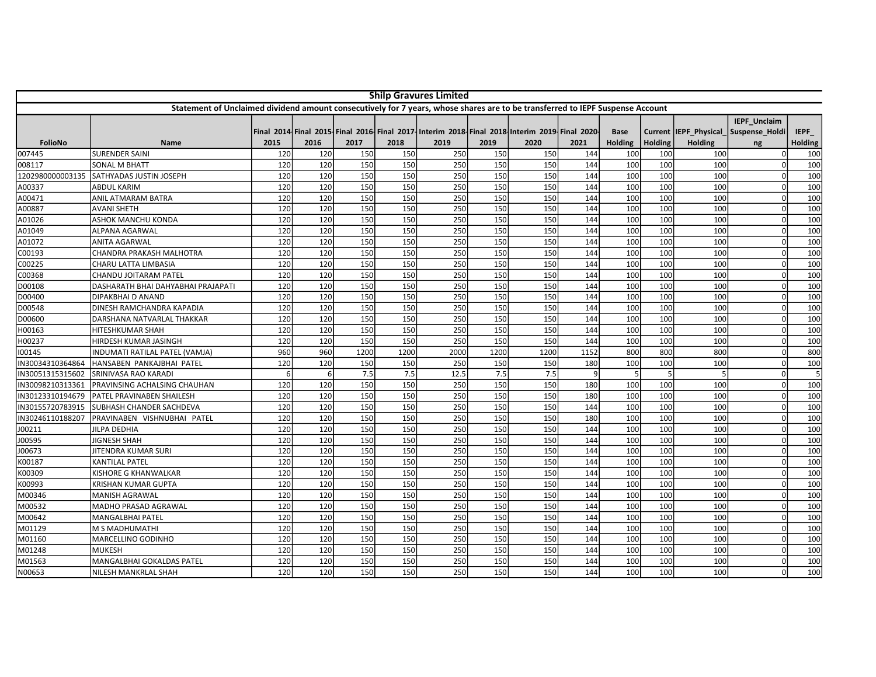| <b>Shilp Gravures Limited</b>                                                                                                 |                                    |      |      |      |      |                                                                                             |      |      |      |                |                |                        |                                |                |
|-------------------------------------------------------------------------------------------------------------------------------|------------------------------------|------|------|------|------|---------------------------------------------------------------------------------------------|------|------|------|----------------|----------------|------------------------|--------------------------------|----------------|
| Statement of Unclaimed dividend amount consecutively for 7 years, whose shares are to be transferred to IEPF Suspense Account |                                    |      |      |      |      |                                                                                             |      |      |      |                |                |                        |                                |                |
|                                                                                                                               |                                    |      |      |      |      | Final 2014 Final 2015 Final 2016 Final 2017 Interim 2018 Final 2018 Interim 2019 Final 2020 |      |      |      | Base           |                | Current  IEPF Physical | IEPF_Unclaim<br>Suspense Holdi | IEPF           |
| <b>FolioNo</b>                                                                                                                | Name                               | 2015 | 2016 | 2017 | 2018 | 2019                                                                                        | 2019 | 2020 | 2021 | <b>Holding</b> | <b>Holding</b> | <b>Holding</b>         | ng                             | <b>Holding</b> |
| 007445                                                                                                                        | <b>SURENDER SAINI</b>              | 120  | 120  | 150  | 150  | 250                                                                                         | 150  | 150  | 144  | 100            | 100            | 100                    |                                | 100            |
| 008117                                                                                                                        | <b>SONAL M BHATT</b>               | 120  | 120  | 150  | 150  | 250                                                                                         | 150  | 150  | 144  | 100            | 100            | 100                    |                                | 100            |
| 1202980000003135                                                                                                              | SATHYADAS JUSTIN JOSEPH            | 120  | 120  | 150  | 150  | 250                                                                                         | 150  | 150  | 144  | 100            | 100            | 100                    |                                | 100            |
| A00337                                                                                                                        | <b>ABDUL KARIM</b>                 | 120  | 120  | 150  | 150  | 250                                                                                         | 150  | 150  | 144  | 100            | 100            | 100                    |                                | 100            |
| A00471                                                                                                                        | <b>ANIL ATMARAM BATRA</b>          | 120  | 120  | 150  | 150  | 250                                                                                         | 150  | 150  | 144  | 100            | 100            | 100                    |                                | 100            |
| A00887                                                                                                                        | <b>AVANI SHETH</b>                 | 120  | 120  | 150  | 150  | 250                                                                                         | 150  | 150  | 144  | 100            | 100            | 100                    |                                | 100            |
| A01026                                                                                                                        | <b>ASHOK MANCHU KONDA</b>          | 120  | 120  | 150  | 150  | 250                                                                                         | 150  | 150  | 144  | 100            | 100            | 100                    |                                | 100            |
| A01049                                                                                                                        | <b>ALPANA AGARWAL</b>              | 120  | 120  | 150  | 150  | 250                                                                                         | 150  | 150  | 144  | 100            | 100            | 100                    |                                | 100            |
| A01072                                                                                                                        | <b>ANITA AGARWAL</b>               | 120  | 120  | 150  | 150  | 250                                                                                         | 150  | 150  | 144  | 100            | 100            | 100                    | $\Omega$                       | 100            |
| C00193                                                                                                                        | CHANDRA PRAKASH MALHOTRA           | 120  | 120  | 150  | 150  | 250                                                                                         | 150  | 150  | 144  | 100            | 100            | 100                    |                                | 100            |
| C00225                                                                                                                        | CHARU LATTA LIMBASIA               | 120  | 120  | 150  | 150  | 250                                                                                         | 150  | 150  | 144  | 100            | 100            | 100                    |                                | 100            |
| C00368                                                                                                                        | <b>CHANDU JOITARAM PATEL</b>       | 120  | 120  | 150  | 150  | 250                                                                                         | 150  | 150  | 144  | 100            | 100            | 100                    | $\Omega$                       | 100            |
| D00108                                                                                                                        | DASHARATH BHAI DAHYABHAI PRAJAPATI | 120  | 120  | 150  | 150  | 250                                                                                         | 150  | 150  | 144  | 100            | 100            | 100                    | $\Omega$                       | 100            |
| D00400                                                                                                                        | DIPAKBHAI D ANAND                  | 120  | 120  | 150  | 150  | 250                                                                                         | 150  | 150  | 144  | 100            | 100            | 100                    |                                | 100            |
| D00548                                                                                                                        | DINESH RAMCHANDRA KAPADIA          | 120  | 120  | 150  | 150  | 250                                                                                         | 150  | 150  | 144  | 100            | 100            | 100                    |                                | 100            |
| D00600                                                                                                                        | DARSHANA NATVARLAL THAKKAR         | 120  | 120  | 150  | 150  | 250                                                                                         | 150  | 150  | 144  | 100            | 100            | 100                    |                                | 100            |
| H00163                                                                                                                        | <b>HITESHKUMAR SHAH</b>            | 120  | 120  | 150  | 150  | 250                                                                                         | 150  | 150  | 144  | 100            | 100            | 100                    |                                | 100            |
| H00237                                                                                                                        | HIRDESH KUMAR JASINGH              | 120  | 120  | 150  | 150  | 250                                                                                         | 150  | 150  | 144  | 100            | 100            | 100                    |                                | 100            |
| 100145                                                                                                                        | INDUMATI RATILAL PATEL (VAMJA)     | 960  | 960  | 1200 | 1200 | 2000                                                                                        | 1200 | 1200 | 1152 | 800            | 800            | 800                    |                                | 800            |
| IN30034310364864                                                                                                              | HANSABEN PANKAJBHAI PATEL          | 120  | 120  | 150  | 150  | 250                                                                                         | 150  | 150  | 180  | 100            | 100            | 100                    |                                | 100            |
| IN30051315315602                                                                                                              | SRINIVASA RAO KARADI               | 6    | -6   | 7.5  | 7.5  | 12.5                                                                                        | 7.5  | 7.5  | 9    | 5              | 5              |                        |                                | 5              |
| IN30098210313361                                                                                                              | PRAVINSING ACHALSING CHAUHAN       | 120  | 120  | 150  | 150  | 250                                                                                         | 150  | 150  | 180  | 100            | 100            | 100                    | n                              | 100            |
| IN30123310194679                                                                                                              | PATEL PRAVINABEN SHAILESH          | 120  | 120  | 150  | 150  | 250                                                                                         | 150  | 150  | 180  | 100            | 100            | 100                    |                                | 100            |
| IN30155720783915                                                                                                              | SUBHASH CHANDER SACHDEVA           | 120  | 120  | 150  | 150  | 250                                                                                         | 150  | 150  | 144  | 100            | 100            | 100                    |                                | 100            |
| IN30246110188207                                                                                                              | PRAVINABEN VISHNUBHAI PATEL        | 120  | 120  | 150  | 150  | 250                                                                                         | 150  | 150  | 180  | 100            | 100            | 100                    | $\Omega$                       | 100            |
| J00211                                                                                                                        | <b>JILPA DEDHIA</b>                | 120  | 120  | 150  | 150  | 250                                                                                         | 150  | 150  | 144  | 100            | 100            | 100                    |                                | 100            |
| J00595                                                                                                                        | <b>JIGNESH SHAH</b>                | 120  | 120  | 150  | 150  | 250                                                                                         | 150  | 150  | 144  | 100            | 100            | 100                    |                                | 100            |
| J00673                                                                                                                        | <b>JITENDRA KUMAR SURI</b>         | 120  | 120  | 150  | 150  | 250                                                                                         | 150  | 150  | 144  | 100            | 100            | 100                    | $\Omega$                       | 100            |
| K00187                                                                                                                        | <b>KANTILAL PATEL</b>              | 120  | 120  | 150  | 150  | 250                                                                                         | 150  | 150  | 144  | 100            | 100            | 100                    |                                | 100            |
| K00309                                                                                                                        | <b>KISHORE G KHANWALKAR</b>        | 120  | 120  | 150  | 150  | 250                                                                                         | 150  | 150  | 144  | 100            | 100            | 100                    |                                | 100            |
| K00993                                                                                                                        | <b>KRISHAN KUMAR GUPTA</b>         | 120  | 120  | 150  | 150  | 250                                                                                         | 150  | 150  | 144  | 100            | 100            | 100                    |                                | 100            |
| M00346                                                                                                                        | <b>MANISH AGRAWAL</b>              | 120  | 120  | 150  | 150  | 250                                                                                         | 150  | 150  | 144  | 100            | 100            | 100                    |                                | 100            |
| M00532                                                                                                                        | <b>MADHO PRASAD AGRAWAL</b>        | 120  | 120  | 150  | 150  | 250                                                                                         | 150  | 150  | 144  | 100            | 100            | 100                    |                                | 100            |
| M00642                                                                                                                        | <b>MANGALBHAI PATEL</b>            | 120  | 120  | 150  | 150  | 250                                                                                         | 150  | 150  | 144  | 100            | 100            | 100                    |                                | 100            |
| M01129                                                                                                                        | M S MADHUMATHI                     | 120  | 120  | 150  | 150  | 250                                                                                         | 150  | 150  | 144  | 100            | 100            | 100                    |                                | 100            |
| M01160                                                                                                                        | MARCELLINO GODINHO                 | 120  | 120  | 150  | 150  | 250                                                                                         | 150  | 150  | 144  | 100            | 100            | 100                    | $\Omega$                       | 100            |
| M01248                                                                                                                        | <b>MUKESH</b>                      | 120  | 120  | 150  | 150  | 250                                                                                         | 150  | 150  | 144  | 100            | 100            | 100                    |                                | 100            |
| M01563                                                                                                                        | MANGALBHAI GOKALDAS PATEL          | 120  | 120  | 150  | 150  | 250                                                                                         | 150  | 150  | 144  | 100            | 100            | 100                    |                                | 100            |
| N00653                                                                                                                        | NILESH MANKRLAL SHAH               | 120  | 120  | 150  | 150  | 250                                                                                         | 150  | 150  | 144  | 100            | 100            | 100                    | $\Omega$                       | 100            |